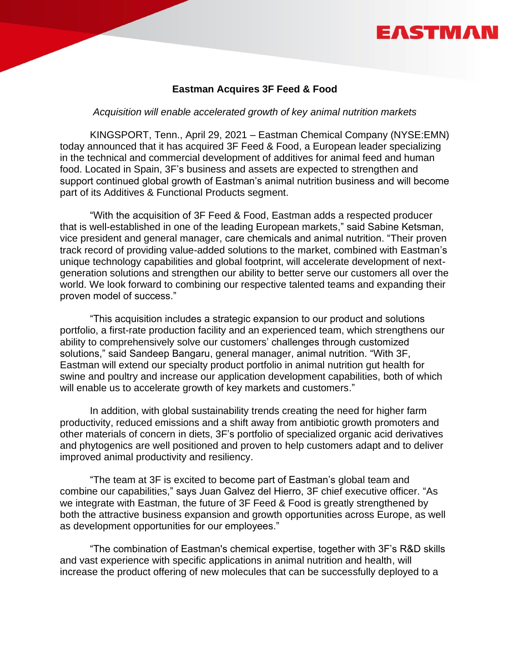# EASTMAI

## **Eastman Acquires 3F Feed & Food**

#### *Acquisition will enable accelerated growth of key animal nutrition markets*

KINGSPORT, Tenn., April 29, 2021 – Eastman Chemical Company (NYSE:EMN) today announced that it has acquired 3F Feed & Food, a European leader specializing in the technical and commercial development of additives for animal feed and human food. Located in Spain, 3F's business and assets are expected to strengthen and support continued global growth of Eastman's animal nutrition business and will become part of its Additives & Functional Products segment.

"With the acquisition of 3F Feed & Food, Eastman adds a respected producer that is well-established in one of the leading European markets," said Sabine Ketsman, vice president and general manager, care chemicals and animal nutrition. "Their proven track record of providing value-added solutions to the market, combined with Eastman's unique technology capabilities and global footprint, will accelerate development of nextgeneration solutions and strengthen our ability to better serve our customers all over the world. We look forward to combining our respective talented teams and expanding their proven model of success."

"This acquisition includes a strategic expansion to our product and solutions portfolio, a first-rate production facility and an experienced team, which strengthens our ability to comprehensively solve our customers' challenges through customized solutions," said Sandeep Bangaru, general manager, animal nutrition. "With 3F, Eastman will extend our specialty product portfolio in animal nutrition gut health for swine and poultry and increase our application development capabilities, both of which will enable us to accelerate growth of key markets and customers."

In addition, with global sustainability trends creating the need for higher farm productivity, reduced emissions and a shift away from antibiotic growth promoters and other materials of concern in diets, 3F's portfolio of specialized organic acid derivatives and phytogenics are well positioned and proven to help customers adapt and to deliver improved animal productivity and resiliency.

"The team at 3F is excited to become part of Eastman's global team and combine our capabilities," says Juan Galvez del Hierro, 3F chief executive officer. "As we integrate with Eastman, the future of 3F Feed & Food is greatly strengthened by both the attractive business expansion and growth opportunities across Europe, as well as development opportunities for our employees."

"The combination of Eastman's chemical expertise, together with 3F's R&D skills and vast experience with specific applications in animal nutrition and health, will increase the product offering of new molecules that can be successfully deployed to a